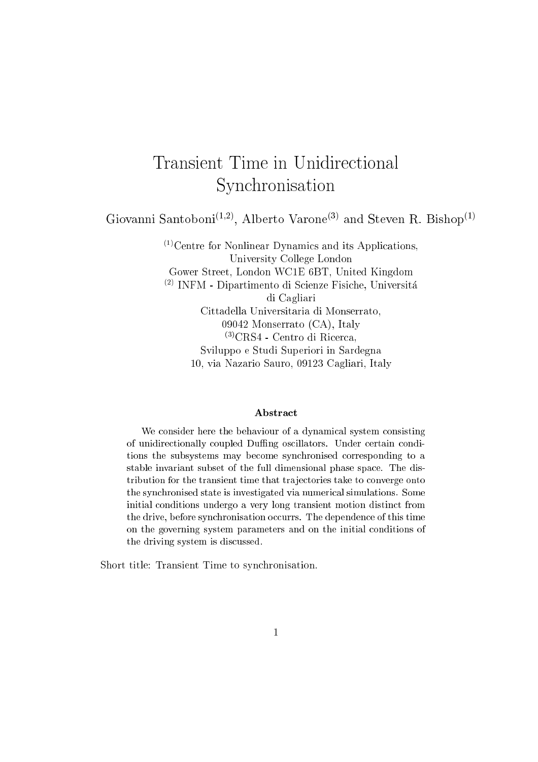# Transient Time in Unidirectional Synchronisation

Giovanni Santoboni<sup>(1,2)</sup>, Alberto Varone<sup>(3)</sup> and Steven R. Bishop<sup>(1)</sup>

 $(1)$ Centre for Nonlinear Dynamics and its Applications, University College London Gower Street, London WC1E 6BT, United Kingdom (2) INFM - Dipartimento di Scienze Fisiche, Universita di Cagliari Cittadella Universitaria di Monserrato, 09042 Monserrato (CA), Italy (3)CRS4 - Centro di Ricerca, Sviluppo e Studi Superiori in Sardegna 10, via Nazario Sauro, 09123 Cagliari, Italy

#### Abstract

We consider here the behaviour of a dynamical system consisting of unidirectionally coupled Duffing oscillators. Under certain conditions the subsystems may become synchronised corresponding to <sup>a</sup> stable invariant subset of the full dimensional phase space. The distribution for the transient time that tra jectories take to converge onto the synchronised state is investigated via numerical simulations. Some initial conditions undergo <sup>a</sup> very long transient motion distinct from the drive, before synchronisation occurrs. The dependence of this time on the governing system parameters and on the initial conditions of the driving system is discussed.

Short title: Transient Time to synchronisation.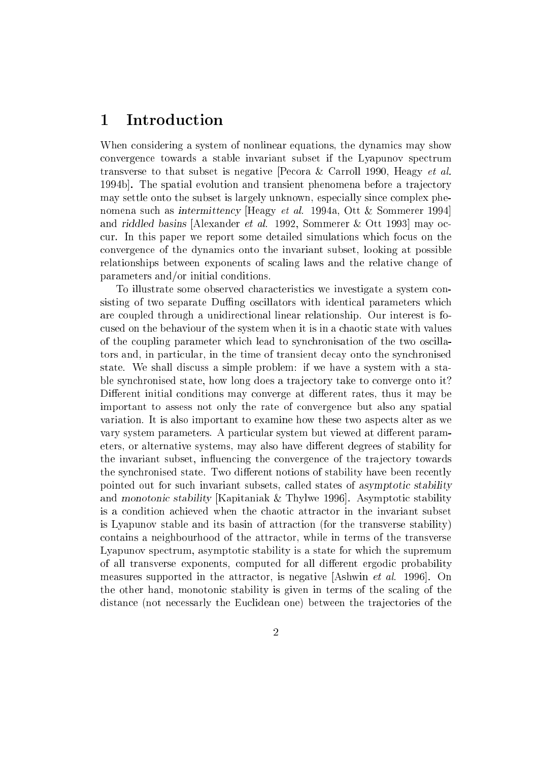#### 1 Introduction

When considering a system of nonlinear equations, the dynamics may show convergence towards a stable invariant subset if the Lyapunov spectrum transverse to that subset is negative [Pecora & Carroll 1990, Heagy et al. 1994b]. The spatial evolution and transient phenomena before a tra jectory may settle onto the subset is largely unknown, especially since complex phenomena such as intermittency [Heagy et al. 1994a, Ott & Sommerer 1994] and riddled basins [Alexander et al. 1992, Sommerer & Ott 1993] may occur. In this paper we report some detailed simulations which focus on the convergence of the dynamics onto the invariant subset, looking at possible relationships between exponents of scaling laws and the relative change of parameters and/or initial conditions.

To illustrate some observed characteristics we investigate a system consisting of two separate Duffing oscillators with identical parameters which are coupled through a unidirectional linear relationship. Our interest is focused on the behaviour of the system when it is in a chaotic state with values of the coupling parameter which lead to synchronisation of the two oscillators and, in particular, in the time of transient decay onto the synchronised state. We shall discuss a simple problem: if we have a system with a stable synchronised state, how long does a tra jectory take to converge onto it? Different initial conditions may converge at different rates, thus it may be important to assess not only the rate of convergence but also any spatial variation. It is also important to examine how these two aspects alter as we vary system parameters. A particular system but viewed at different parameters, or alternative systems, may also have different degrees of stability for the invariant subset, influencing the convergence of the trajectory towards the synchronised state. Two different notions of stability have been recently pointed out for such invariant subsets, called states of asymptotic stability and monotonic stability [Kapitaniak & Thylwe 1996]. Asymptotic stability is a condition achieved when the chaotic attractor in the invariant subset is Lyapunov stable and its basin of attraction (for the transverse stability) contains a neighbourhood of the attractor, while in terms of the transverse Lyapunov spectrum, asymptotic stability is a state for which the supremum of all transverse exponents, computed for all different ergodic probability measures supported in the attractor, is negative [Ashwin et al. 1996]. On the other hand, monotonic stability is given in terms of the scaling of the distance (not necessarly the Euclidean one) between the tra jectories of the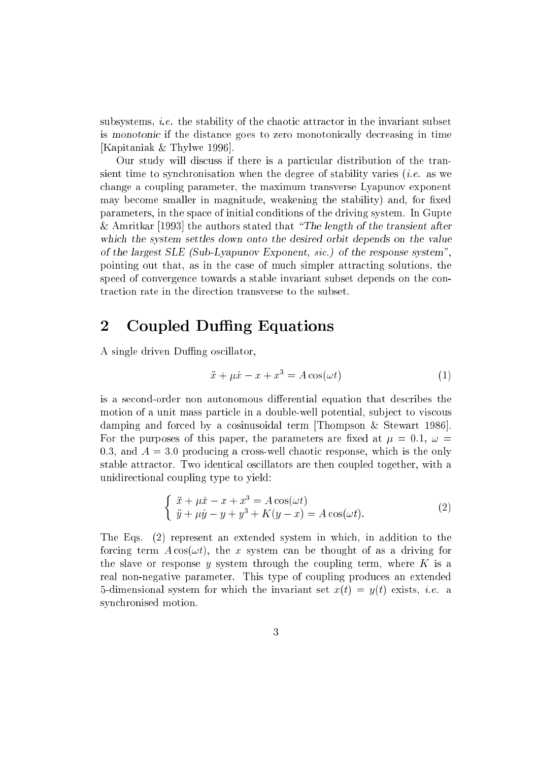subsystems, i.e. the stability of the chaotic attractor in the invariant subset is monotonic if the distance goes to zero monotonically decreasing in time [Kapitaniak & Thylwe 1996].

Our study will discuss if there is a particular distribution of the transient time to synchronisation when the degree of stability varies *(i.e.* as we change a coupling parameter, the maximum transverse Lyapunov exponent may become smaller in magnitude, weakening the stability) and, for fixed parameters, in the space of initial conditions of the driving system. In Gupte & Amritkar [1993] the authors stated that "The length of the transient after which the system settles down onto the desired orbit depends on the value of the largest SLE (Sub-Lyapunov Exponent, sic.) of the response system", pointing out that, as in the case of much simpler attracting solutions, the speed of convergence towards a stable invariant subset depends on the contraction rate in the direction transverse to the subset.

## 2 Coupled Duffing Equations

A single driven Duffing oscillator,

$$
\ddot{x} + \mu \dot{x} - x + x^3 = A \cos(\omega t) \tag{1}
$$

is a second-order non autonomous differential equation that describes the motion of a unit mass particle in a double-well potential, sub ject to viscous damping and forced by a cosinusoidal term [Thompson & Stewart 1986]. For the purposes of this paper, the parameters are fixed at  $\mu = 0.1, \omega =$ 0.3, and  $A = 3.0$  producing a cross-well chaotic response, which is the only stable attractor. Two identical oscillators are then coupled together, with a unidirectional coupling type to yield:

$$
\begin{cases}\n\ddot{x} + \mu \dot{x} - x + x^3 = A \cos(\omega t) \\
\ddot{y} + \mu \dot{y} - y + y^3 + K(y - x) = A \cos(\omega t).\n\end{cases}
$$
\n(2)

The Eqs. (2) represent an extended system in which, in addition to the forcing term  $A\cos(\omega t)$ , the x system can be thought of as a driving for the slave or response y system through the coupling term, where  $K$  is a real non-negative parameter. This type of coupling produces an extended 5-dimensional system for which the invariant set  $x(t) = y(t)$  exists, *i.e.* a synchronised motion.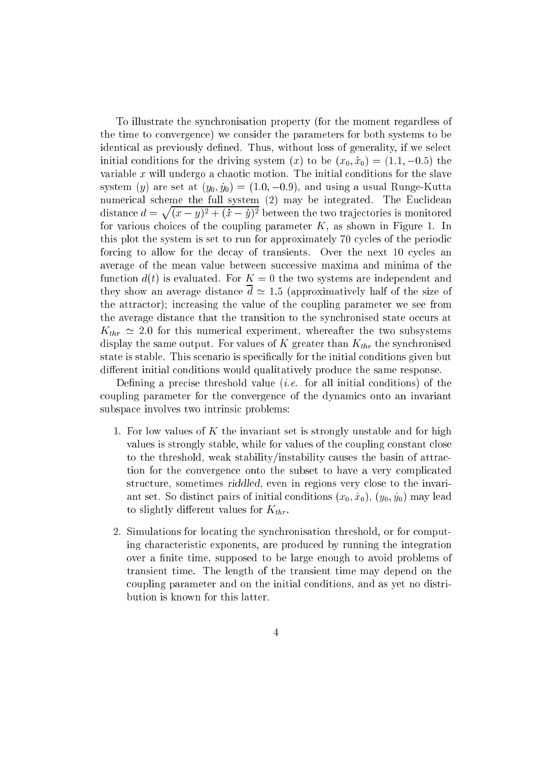To illustrate the synchronisation property (for the moment regardless of the time to convergence) we consider the parameters for both systems to be identical as previously defined. Thus, without loss of generality, if we select initial conditions for the driving system  $(x)$  to be  $(x_0, x_0) = (1.1, -0.5)$  the variable  $x$  will undergo a chaotic motion. The initial conditions for the slave system (y) are set at  $(y_0, y_0) = (1.0, -0.9)$ , and using a usual Runge-Kutta distance  $d = \sqrt{(x - y)^2 + (x - y)^2}$  between the two trajectories is monitored. for various choices of the coupling parameter  $K$ , as shown in Figure 1. In this plot the system is set to run for approximately 70 cycles of the periodic forcing to allow for the decay of transients. Over the next 10 cycles an average of the mean value between successive maxima and minima of the function  $d(t)$  is evaluated. For  $K = 0$  the two systems are independent and they show an average distance  $\bar{d} \simeq 1.5$  (approximatively half of the size of the attractor); increasing the value of the coupling parameter we see from the average distance that the transition to the synchronised state occurs at  $K_{thr} \simeq 2.0$  for this numerical experiment, whereafter the two subsystems display the same output. For values of K greater than  $K_{thr}$  the synchronised state is stable. This scenario is specically for the initial conditions given but different initial conditions would qualitatively produce the same response.

Defining a precise threshold value (*i.e.* for all initial conditions) of the coupling parameter for the convergence of the dynamics onto an invariant subspace involves two intrinsic problems:

- 1. For low values of K the invariant set is strongly unstable and for high values is strongly stable, while for values of the coupling constant close to the threshold, weak stability/instability causes the basin of attraction for the convergence onto the subset to have a very complicated structure, sometimes riddled, even in regions very close to the invariant set. So distinct pairs of initial conditions  $(x_0, x_0)$ ,  $(y_0, y_0)$  may lead to slightly different values for  $K_{thr}$ .
- 2. Simulations for locating the synchronisation threshold, or for computing characteristic exponents, are produced by running the integration over a finite time, supposed to be large enough to avoid problems of transient time. The length of the transient time may depend on the coupling parameter and on the initial conditions, and as yet no distribution is known for this latter.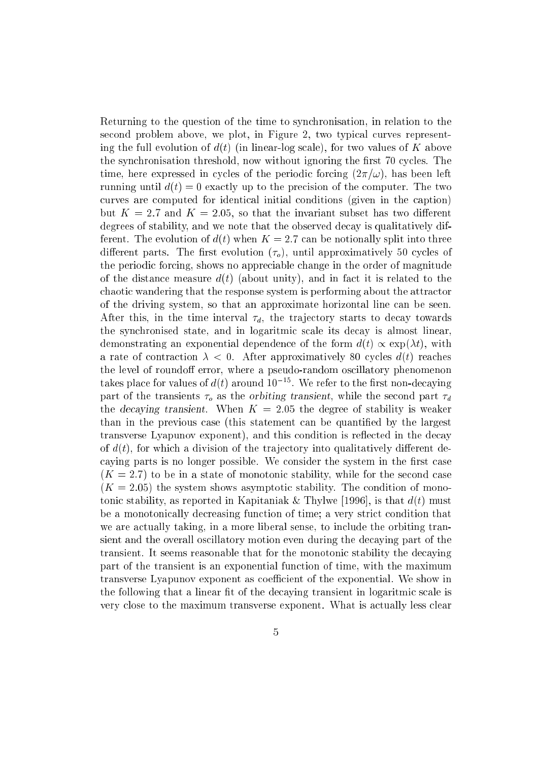Returning to the question of the time to synchronisation, in relation to the second problem above, we plot, in Figure 2, two typical curves representing the full evolution of  $d(t)$  (in linear-log scale), for two values of K above the synchronisation threshold, now without ignoring the first 70 cycles. The time, here expressed in cycles of the periodic forcing  $(2\pi/\omega)$ , has been left running until  $d(t) = 0$  exactly up to the precision of the computer. The two curves are computed for identical initial conditions (given in the caption) but  $K = 2.7$  and  $K = 2.05$ , so that the invariant subset has two different degrees of stability, and we note that the observed decay is qualitatively different. The evolution of  $d(t)$  when  $K = 2.7$  can be notionally split into three different parts. The first evolution  $(\tau_o)$ , until approximatively 50 cycles of the periodic forcing, shows no appreciable change in the order of magnitude of the distance measure  $d(t)$  (about unity), and in fact it is related to the chaotic wandering that the response system is performing about the attractor of the driving system, so that an approximate horizontal line can be seen. After this, in the time interval  $\tau_d$ , the trajectory starts to decay towards the synchronised state, and in logaritmic scale its decay is almost linear, demonstrating an exponential dependence of the form  $d(t) \propto \exp(\lambda t)$ , with a rate of contraction  $\lambda < 0$ . After approximatively 80 cycles  $d(t)$  reaches the level of roundoff error, where a pseudo-random oscillatory phenomenon takes place for values of  $d(t)$  around  $10^{-15}$ . We refer to the first non-decaying part of the transients  $\tau_o$  as the orbiting transient, while the second part  $\tau_d$ the decaying transient. When  $K = 2.05$  the degree of stability is weaker than in the previous case (this statement can be quantified by the largest transverse Lyapunov exponent), and this condition is reflected in the decay of  $d(t)$ , for which a division of the trajectory into qualitatively different decaying parts is no longer possible. We consider the system in the first case  $(K = 2.7)$  to be in a state of monotonic stability, while for the second case  $(K = 2.05)$  the system shows asymptotic stability. The condition of monotonic stability, as reported in Kapitaniak & Thylwe [1996], is that  $d(t)$  must be a monotonically decreasing function of time; a very strict condition that we are actually taking, in a more liberal sense, to include the orbiting transient and the overall oscillatory motion even during the decaying part of the transient. It seems reasonable that for the monotonic stability the decaying part of the transient is an exponential function of time, with the maximum transverse Lyapunov exponent as coefficient of the exponential. We show in the following that a linear fit of the decaying transient in logaritmic scale is very close to the maximum transverse exponent. What is actually less clear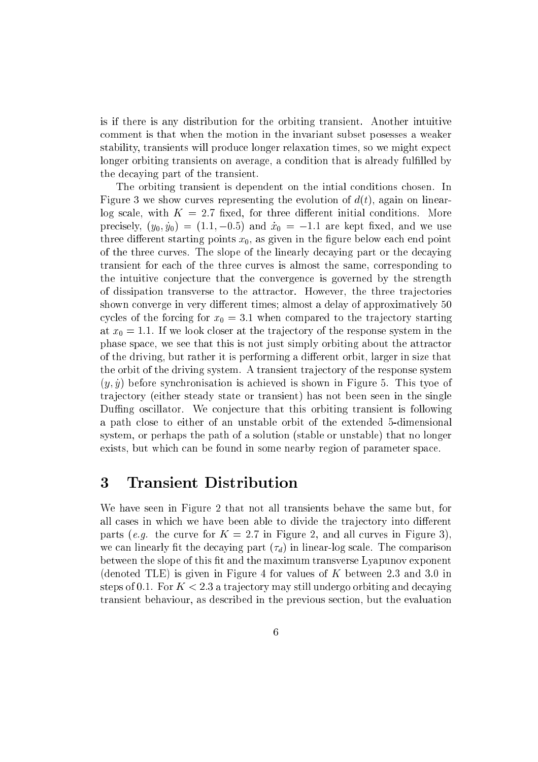is if there is any distribution for the orbiting transient. Another intuitive comment is that when the motion in the invariant subset posesses a weaker stability, transients will produce longer relaxation times, so we might expect longer orbiting transients on average, a condition that is already fulfilled by the decaying part of the transient.

The orbiting transient is dependent on the intial conditions chosen. In Figure 3 we show curves representing the evolution of  $d(t)$ , again on linearlog scale, with  $K = 2.7$  fixed, for three different initial conditions. More precisely,  $(y_0, \dot{y}_0) = (1.1, -0.5)$  and  $\dot{x}_0 = -1.1$  are kept fixed, and we use three different starting points  $x_0$ , as given in the figure below each end point of the three curves. The slope of the linearly decaying part or the decaying transient for each of the three curves is almost the same, corresponding to the intuitive conjecture that the convergence is governed by the strength of dissipation transverse to the attractor. However, the three tra jectories shown converge in very different times; almost a delay of approximatively 50 cycles of the forcing for  $x_0 = 3.1$  when compared to the trajectory starting at  $x_0 = 1.1$ . If we look closer at the trajectory of the response system in the phase space, we see that this is not just simply orbiting about the attractor of the driving, but rather it is performing a different orbit, larger in size that the orbit of the driving system. A transient tra jectory of the response system  $(y, y)$  before synchronisation is achieved is shown in Figure 5. This tyoe of tra jectory (either steady state or transient) has not been seen in the single Duffing oscillator. We conjecture that this orbiting transient is following a path close to either of an unstable orbit of the extended 5-dimensional system, or perhaps the path of a solution (stable or unstable) that no longer exists, but which can be found in some nearby region of parameter space.

#### 3 Transient Distribution

We have seen in Figure 2 that not all transients behave the same but, for all cases in which we have been able to divide the trajectory into different parts (e.g. the curve for  $K = 2.7$  in Figure 2, and all curves in Figure 3). we can linearly fit the decaying part  $(\tau_d)$  in linear-log scale. The comparison between the slope of this fit and the maximum transverse Lyapunov exponent (denoted TLE) is given in Figure 4 for values of  $K$  between 2.3 and 3.0 in steps of 0.1. For  $K < 2.3$  a trajectory may still undergo orbiting and decaying transient behaviour, as described in the previous section, but the evaluation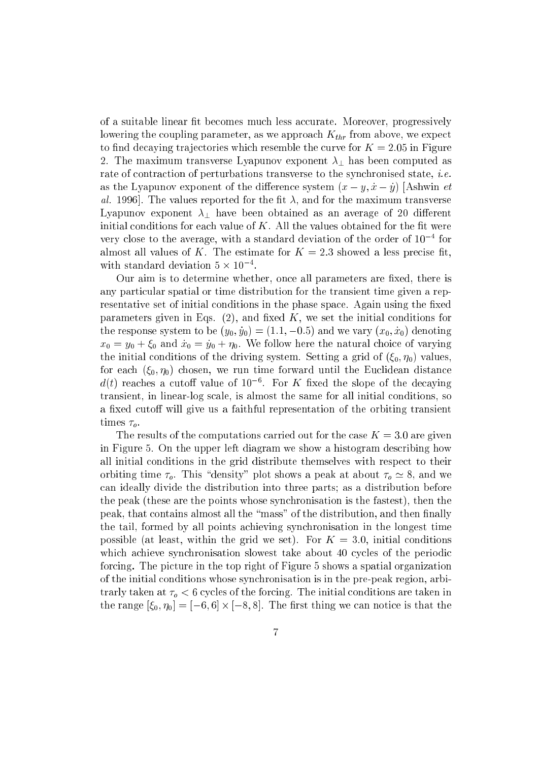of a suitable linear fit becomes much less accurate. Moreover, progressively lowering the coupling parameter, as we approach  $K_{thr}$  from above, we expect to find decaying trajectories which resemble the curve for  $K = 2.05$  in Figure 2. The maximum transverse Lyapunov exponent  $\lambda_{\perp}$  has been computed as rate of contraction of perturbations transverse to the synchronised state, *i.e.* as the Lyapunov exponent of the difference system  $(x - y, \dot{x} - \dot{y})$  [Ashwin *et* al. 1996. The values reported for the fit  $\lambda$ , and for the maximum transverse Lyapunov exponent  $\lambda_1$  have been obtained as an average of 20 different initial conditions for each value of  $K$ . All the values obtained for the fit were very close to the average, with a standard deviation of the order of 10  $\,$  for almost all values of K. The estimate for  $K = 2.3$  showed a less precise fit, with standard deviation  $\partial \times 10^{-4}$ .

Our aim is to determine whether, once all parameters are fixed, there is any particular spatial or time distribution for the transient time given a representative set of initial conditions in the phase space. Again using the fixed parameters given in Eqs.  $(2)$ , and fixed K, we set the initial conditions for the response system to be  $(y_0, \dot{y}_0) = (1.1, -0.5)$  and we vary  $(x_0, \dot{x}_0)$  denoting  $x_0 = y_0 + \xi_0$  and  $\dot{x}_0 = \dot{y}_0 + \eta_0$ . We follow here the natural choice of varying the initial conditions of the driving system. Setting a grid of  $(\xi_0, \eta_0)$  values, for each  $(\xi_0, \eta_0)$  chosen, we run time forward until the Euclidean distance  $d(t)$  reaches a cutoff value of  $10^{-6}$ . For K fixed the slope of the decaying transient, in linear-log scale, is almost the same for all initial conditions, so a fixed cutoff will give us a faithful representation of the orbiting transient times  $\tau_o$ .

The results of the computations carried out for the case  $K = 3.0$  are given in Figure 5. On the upper left diagram we show a histogram describing how all initial conditions in the grid distribute themselves with respect to their orbiting time  $\tau_o$ . This "density" plot shows a peak at about  $\tau_o \simeq 8$ , and we can ideally divide the distribution into three parts; as a distribution before the peak (these are the points whose synchronisation is the fastest), then the peak, that contains almost all the "mass" of the distribution, and then finally the tail, formed by all points achieving synchronisation in the longest time possible (at least, within the grid we set). For  $K = 3.0$ , initial conditions which achieve synchronisation slowest take about 40 cycles of the periodic forcing. The picture in the top right of Figure 5 shows a spatial organization of the initial conditions whose synchronisation is in the pre-peak region, arbitrarly taken at  $\tau_o < 6$  cycles of the forcing. The initial conditions are taken in the range  $[\xi_0, \eta_0] = [-6, 6] \times [-8, 8]$ . The first thing we can notice is that the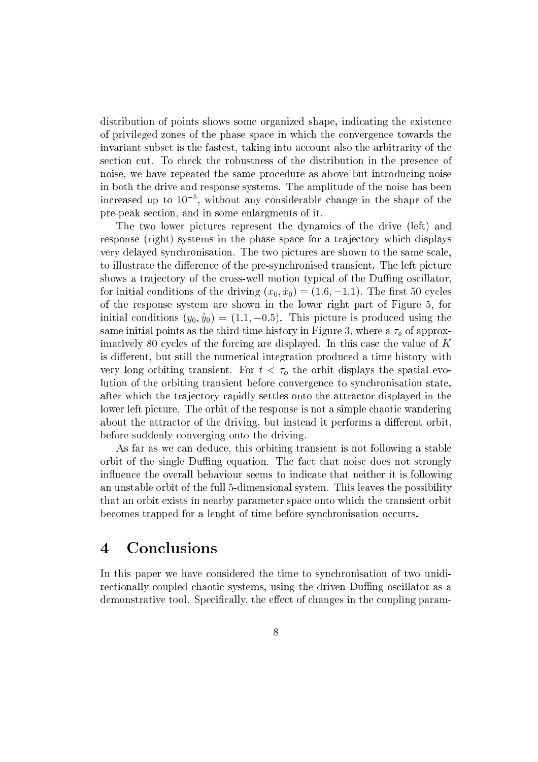distribution of points shows some organized shape, indicating the existence of privileged zones of the phase space in which the convergence towards the invariant subset is the fastest, taking into account also the arbitrarity of the section cut. To check the robustness of the distribution in the presence of noise, we have repeated the same procedure as above but introducing noise in both the drive and response systems. The amplitude of the noise has been increased up to 105 , without any considerable change in the shape of the pre-peak section, and in some enlargments of it.

The two lower pictures represent the dynamics of the drive (left) and response (right) systems in the phase space for a trajectory which displays very delayed synchronisation. The two pictures are shown to the same scale, to illustrate the difference of the pre-synchronised transient. The left picture shows a trajectory of the cross-well motion typical of the Duffing oscillator, for initial conditions of the driving  $(x_0, \dot{x}_0) = (1.6, -1.1)$ . The first 50 cycles of the response system are shown in the lower right part of Figure 5, for initial conditions  $(y_0, \dot{y}_0) = (1.1, -0.5)$ . This picture is produced using the same initial points as the third time history in Figure 3, where a  $\tau<sub>o</sub>$  of approximatively 80 cycles of the forcing are displayed. In this case the value of  $K$ is different, but still the numerical integration produced a time history with very long orbiting transient. For  $t < \tau_o$  the orbit displays the spatial evolution of the orbiting transient before convergence to synchronisation state, after which the tra jectory rapidly settles onto the attractor displayed in the lower left picture. The orbit of the response is not a simple chaotic wandering about the attractor of the driving, but instead it performs a different orbit. before suddenly converging onto the driving.

As far as we can deduce, this orbiting transient is not following a stable orbit of the single Duffing equation. The fact that noise does not strongly in
uence the overall behaviour seems to indicate that neither it is following an unstable orbit of the full 5-dimensional system. This leaves the possibility that an orbit exists in nearby parameter space onto which the transient orbit becomes trapped for a lenght of time before synchronisation occurrs.

#### **Conclusions**  $\overline{\mathbf{4}}$

In this paper we have considered the time to synchronisation of two unidirectionally coupled chaotic systems, using the driven Duffing oscillator as a demonstrative tool. Specifically, the effect of changes in the coupling param-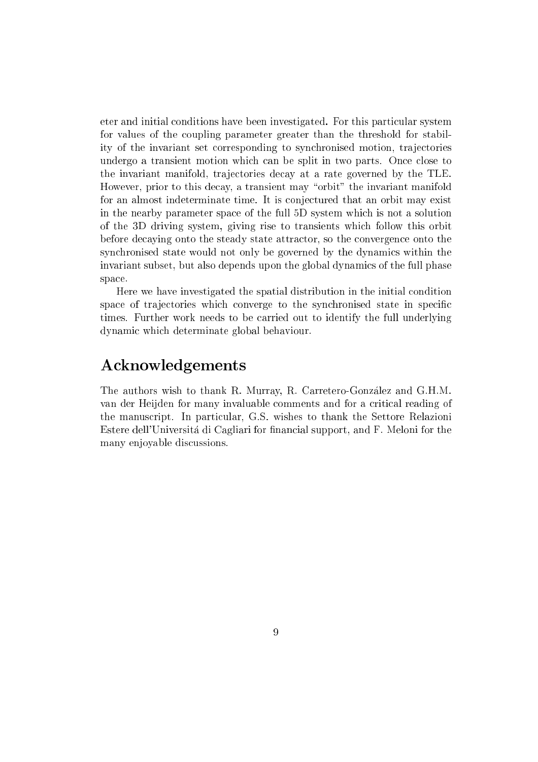eter and initial conditions have been investigated. For this particular system for values of the coupling parameter greater than the threshold for stability of the invariant set corresponding to synchronised motion, tra jectories undergo a transient motion which can be split in two parts. Once close to the invariant manifold, trajectories decay at a rate governed by the TLE. However, prior to this decay, a transient may "orbit" the invariant manifold for an almost indeterminate time. It is conjectured that an orbit may exist in the nearby parameter space of the full 5D system which is not a solution of the 3D driving system, giving rise to transients which follow this orbit before decaying onto the steady state attractor, so the convergence onto the synchronised state would not only be governed by the dynamics within the invariant subset, but also depends upon the global dynamics of the full phase space.

Here we have investigated the spatial distribution in the initial condition space of trajectories which converge to the synchronised state in specific times. Further work needs to be carried out to identify the full underlying dynamic which determinate global behaviour.

### Acknowledgements

The authors wish to thank R. Murray, R. Carretero-Gonzalez and G.H.M. van der Heijden for many invaluable comments and for a critical reading of the manuscript. In particular, G.S. wishes to thank the Settore Relazioni Estere dell'Universitá di Cagliari for financial support, and F. Meloni for the many enjoyable discussions.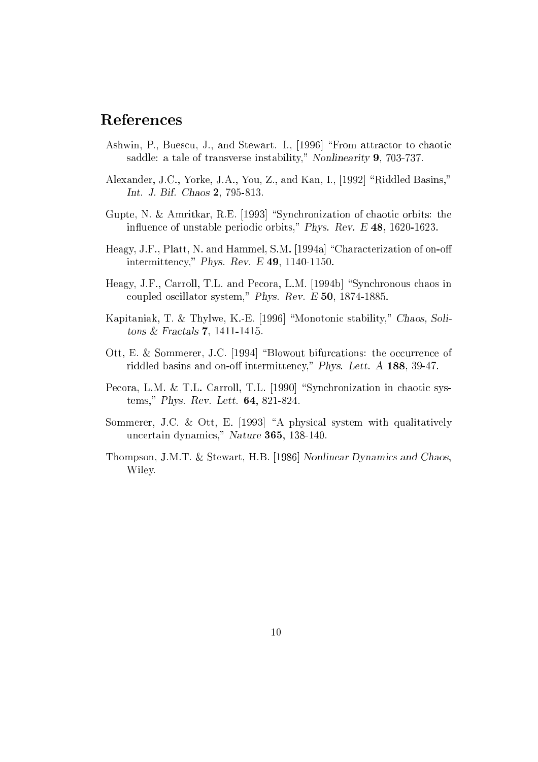### References

- Ashwin, P., Buescu, J., and Stewart. I., [1996] \From attractor to chaotic saddle: a tale of transverse instability," Nonlinearity 9, 703-737.
- Alexander, J.C., Yorke, J.A., You, Z., and Kan, I., [1992] "Riddled Basins," Int. J. Bif. Chaos 2, 795-813.
- Gupte, N. & Amritkar, R.E. [1993] "Synchronization of chaotic orbits: the influence of unstable periodic orbits," Phys. Rev. E 48, 1620-1623.
- Heagy, J.F., Platt, N. and Hammel, S.M. [1994a] "Characterization of on-off intermittency," Phys. Rev. E 49, 1140-1150.
- Heagy, J.F., Carroll, T.L. and Pecora, L.M. [1994b] "Synchronous chaos in coupled oscillator system," Phys. Rev. E 50, 1874-1885.
- Kapitaniak, T. & Thylwe, K.-E. [1996] "Monotonic stability," Chaos, Solitons & Fractals 7, 1411-1415.
- Ott, E. & Sommerer, J.C. [1994] "Blowout bifurcations: the occurrence of riddled basins and on-off intermittency," Phys. Lett.  $A$  188, 39-47.
- Pecora, L.M. & T.L. Carroll, T.L. [1990] "Synchronization in chaotic systems," Phys. Rev. Lett. 64, 821-824.
- Sommerer, J.C. & Ott, E. [1993] "A physical system with qualitatively uncertain dynamics," Nature 365, 138-140.
- Thompson, J.M.T. & Stewart, H.B. [1986] Nonlinear Dynamics and Chaos, Wiley.